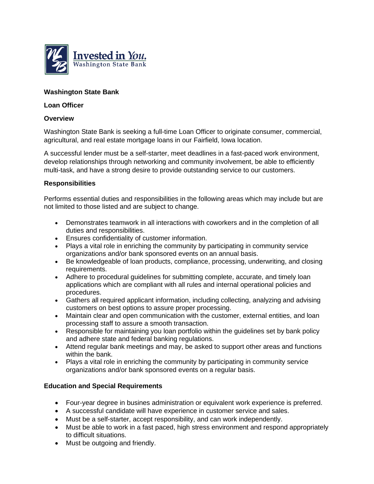

# **Washington State Bank**

### **Loan Officer**

#### **Overview**

Washington State Bank is seeking a full-time Loan Officer to originate consumer, commercial, agricultural, and real estate mortgage loans in our Fairfield, Iowa location.

A successful lender must be a self-starter, meet deadlines in a fast-paced work environment, develop relationships through networking and community involvement, be able to efficiently multi-task, and have a strong desire to provide outstanding service to our customers.

#### **Responsibilities**

Performs essential duties and responsibilities in the following areas which may include but are not limited to those listed and are subject to change.

- Demonstrates teamwork in all interactions with coworkers and in the completion of all duties and responsibilities.
- Ensures confidentiality of customer information.
- Plays a vital role in enriching the community by participating in community service organizations and/or bank sponsored events on an annual basis.
- Be knowledgeable of loan products, compliance, processing, underwriting, and closing requirements.
- Adhere to procedural guidelines for submitting complete, accurate, and timely loan applications which are compliant with all rules and internal operational policies and procedures.
- Gathers all required applicant information, including collecting, analyzing and advising customers on best options to assure proper processing.
- Maintain clear and open communication with the customer, external entities, and loan processing staff to assure a smooth transaction.
- Responsible for maintaining you loan portfolio within the quidelines set by bank policy and adhere state and federal banking regulations.
- Attend regular bank meetings and may, be asked to support other areas and functions within the bank.
- Plays a vital role in enriching the community by participating in community service organizations and/or bank sponsored events on a regular basis.

## **Education and Special Requirements**

- Four-year degree in busines administration or equivalent work experience is preferred.
- A successful candidate will have experience in customer service and sales.
- Must be a self-starter, accept responsibility, and can work independently.
- Must be able to work in a fast paced, high stress environment and respond appropriately to difficult situations.
- Must be outgoing and friendly.